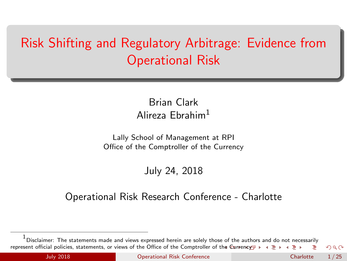# <span id="page-0-0"></span>Risk Shifting and Regulatory Arbitrage: Evidence from Operational Risk

Brian Clark Alireza Ebrahim<sup>1</sup>

Lally School of Management at RPI Office of the Comptroller of the Currency

July 24, 2018

#### Operational Risk Research Conference - Charlotte

<sup>1&</sup>lt;br><sup>1</sup> Disclaimer: The statements made and views expressed herein are solely those of the aut[hor](#page-0-0)[s a](#page-1-0)[nd d](#page-0-0)o [not n](#page-0-0)ece[ssaril](#page-0-0)y represent official policies, statements, or views of the Office of t[he C](#page-0-0)omptroller of the C[urre](#page-1-0)[ncy](#page-0-0)<sub></sub> > < = >  $\Omega$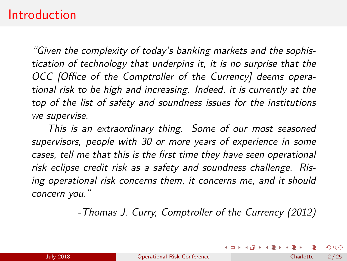#### <span id="page-1-0"></span>**Introduction**

"Given the complexity of today's banking markets and the sophistication of technology that underpins it, it is no surprise that the OCC [Office of the Comptroller of the Currency] deems operational risk to be high and increasing. Indeed, it is currently at the top of the list of safety and soundness issues for the institutions we supervise.

This is an extraordinary thing. Some of our most seasoned supervisors, people with 30 or more years of experience in some cases, tell me that this is the first time they have seen operational risk eclipse credit risk as a safety and soundness challenge. Rising operational risk concerns them, it concerns me, and it should concern you."

-Thomas J. Curry, Comptroller of the Currency (2012)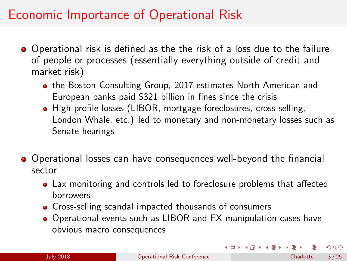## Economic Importance of Operational Risk

- Operational risk is defined as the the risk of a loss due to the failure of people or processes (essentially everything outside of credit and market risk)
	- [the Boston Consulting Group, 2017](#page-23-0) estimates North American and European banks paid \$321 billion in fines since the crisis
	- High-profile losses (LIBOR, mortgage foreclosures, cross-selling, London Whale, etc.) led to monetary and non-monetary losses such as Senate hearings
- Operational losses can have consequences well-beyond the financial sector
	- Lax monitoring and controls led to foreclosure problems that affected borrowers
	- Cross-selling scandal impacted thousands of consumers
	- Operational events such as LIBOR and FX manipulation cases have obvious macro consequences

 $\Omega$ 

イロト イ部 トイモト イモト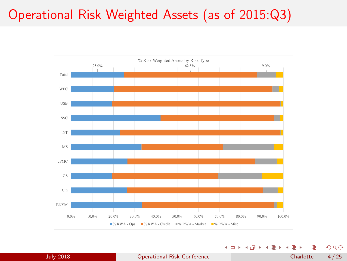## Operational Risk Weighted Assets (as of 2015:Q3)



4 0 8 ٠

٠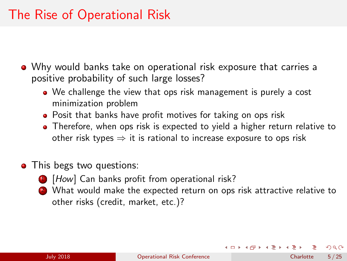## The Rise of Operational Risk

Why would banks take on operational risk exposure that carries a positive probability of such large losses?

- We challenge the view that ops risk management is purely a cost minimization problem
- Posit that banks have profit motives for taking on ops risk
- Therefore, when ops risk is expected to yield a higher return relative to other risk types  $\Rightarrow$  it is rational to increase exposure to ops risk
- This begs two questions:
	- **1** [How] Can banks profit from operational risk?
	- 2 What would make the expected return on ops risk attractive relative to other risks (credit, market, etc.)?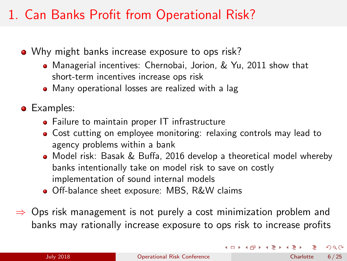## 1. Can Banks Profit from Operational Risk?

- Why might banks increase exposure to ops risk?
	- Managerial incentives: [Chernobai, Jorion, & Yu, 2011](#page-22-0) show that short-term incentives increase ops risk
	- Many operational losses are realized with a lag
- **•** Examples:
	- Failure to maintain proper IT infrastructure
	- Cost cutting on employee monitoring: relaxing controls may lead to agency problems within a bank
	- Model risk: [Basak & Buffa, 2016](#page-22-1) develop a theoretical model whereby banks intentionally take on model risk to save on costly implementation of sound internal models
	- Off-balance sheet exposure: MBS, R&W claims
- $\Rightarrow$  Ops risk management is not purely a cost minimization problem and banks may rationally increase exposure to ops risk to increase profits

 $\Omega$ 

イロト イ押ト イミト イミト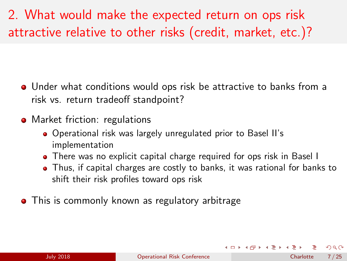# 2. What would make the expected return on ops risk attractive relative to other risks (credit, market, etc.)?

- Under what conditions would ops risk be attractive to banks from a risk vs. return tradeoff standpoint?
- Market friction: regulations
	- Operational risk was largely unregulated prior to Basel II's implementation
	- There was no explicit capital charge required for ops risk in Basel I
	- Thus, if capital charges are costly to banks, it was rational for banks to shift their risk profiles toward ops risk
- **•** This is commonly known as regulatory arbitrage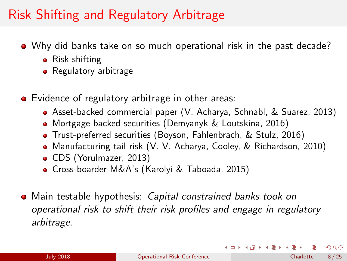## Risk Shifting and Regulatory Arbitrage

- Why did banks take on so much operational risk in the past decade?
	- Risk shifting
	- Regulatory arbitrage
- **•** Evidence of regulatory arbitrage in other areas:
	- Asset-backed commercial paper [\(V. Acharya, Schnabl, & Suarez, 2013\)](#page-22-2)
	- Mortgage backed securities [\(Demyanyk & Loutskina, 2016\)](#page-23-1)
	- Trust-preferred securities [\(Boyson, Fahlenbrach, & Stulz, 2016\)](#page-22-3)
	- Manufacturing tail risk [\(V. V. Acharya, Cooley, & Richardson, 2010\)](#page-22-4)
	- CDS [\(Yorulmazer, 2013\)](#page-23-2)
	- Cross-boarder M&A's [\(Karolyi & Taboada, 2015\)](#page-23-3)
- Main testable hypothesis: Capital constrained banks took on operational risk to shift their risk profiles and engage in regulatory arbitrage.

 $\Omega$ 

イロト イ母 トイミト イミト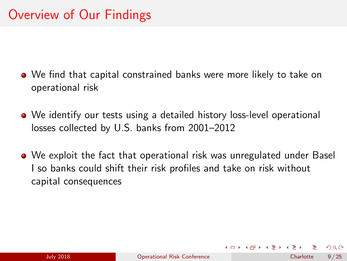- We find that capital constrained banks were more likely to take on operational risk
- We identify our tests using a detailed history loss-level operational losses collected by U.S. banks from 2001–2012
- We exploit the fact that operational risk was unregulated under Basel I so banks could shift their risk profiles and take on risk without capital consequences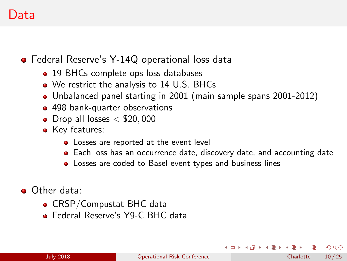#### Data

**•** Federal Reserve's Y-14Q operational loss data

- 19 BHCs complete ops loss databases
- We restrict the analysis to 14 U.S. BHCs
- Unbalanced panel starting in 2001 (main sample spans 2001-2012)
- 498 bank-quarter observations
- $\bullet$  Drop all losses  $<$  \$20,000
- Key features:
	- Losses are reported at the event level
	- Each loss has an occurrence date, discovery date, and accounting date
	- Losses are coded to Basel event types and business lines
- Other data:
	- CRSP/Compustat BHC data
	- **A** Federal Reserve's Y9-C BHC data

 $QQ$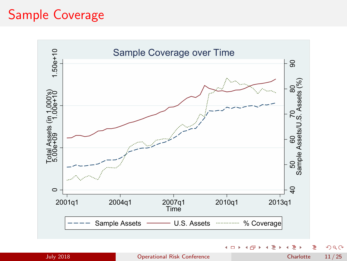## Sample Coverage

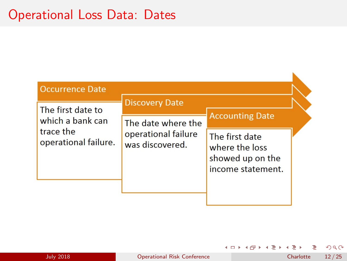#### Operational Loss Data: Dates

| <b>Occurrence Date</b>                                                     |                                                              |                                                                           |  |
|----------------------------------------------------------------------------|--------------------------------------------------------------|---------------------------------------------------------------------------|--|
| The first date to<br>which a bank can<br>trace the<br>operational failure. | <b>Discovery Date</b>                                        | <b>Accounting Date</b>                                                    |  |
|                                                                            | The date where the<br>operational failure<br>was discovered. | The first date<br>where the loss<br>showed up on the<br>income statement. |  |

造

Э×

٠

造り

 $\rightarrow$ 

**K ロ ▶ K 何 ▶**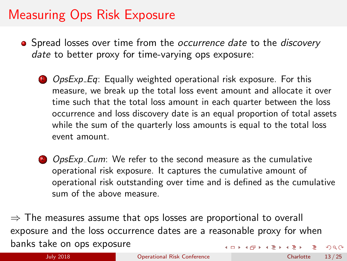## Measuring Ops Risk Exposure

- Spread losses over time from the *occurrence date* to the *discovery* date to better proxy for time-varying ops exposure:
	- **1** OpsExp Eq: Equally weighted operational risk exposure. For this measure, we break up the total loss event amount and allocate it over time such that the total loss amount in each quarter between the loss occurrence and loss discovery date is an equal proportion of total assets while the sum of the quarterly loss amounts is equal to the total loss event amount.
	- 2 OpsExp\_Cum: We refer to the second measure as the cumulative operational risk exposure. It captures the cumulative amount of operational risk outstanding over time and is defined as the cumulative sum of the above measure.

 $\Rightarrow$  The measures assume that ops losses are proportional to overall exposure and the loss occurrence dates are a reasonable proxy for when banks take on ops exposure  $\left\{ \begin{array}{ccc} 1 & 0 & 0 \\ 0 & 1 & 0 \end{array} \right.$   $\left\{ \begin{array}{ccc} 0 & 0 & 0 \\ 0 & 0 & 0 \end{array} \right.$  $QQ$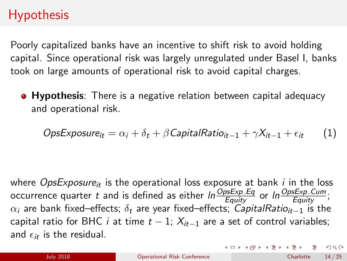## **Hypothesis**

Poorly capitalized banks have an incentive to shift risk to avoid holding capital. Since operational risk was largely unregulated under Basel I, banks took on large amounts of operational risk to avoid capital charges.

**• Hypothesis**: There is a negative relation between capital adequacy and operational risk.

$$
OpsExposure_{it} = \alpha_i + \delta_t + \beta CapitalRatio_{it-1} + \gamma X_{it-1} + \epsilon_{it} \qquad (1)
$$

where *OpsExposure<sub>it</sub>* is the operational loss exposure at bank *i* in the loss occurrence quarter  $t$  and is defined as either  $\textit{ln}\frac{OpsExp\_Eq}{Equity}$  or  $\textit{ln}\frac{OpsExp\_Cum}{Equity};$  $\alpha_i$  are bank fixed–effects;  $\delta_t$  are year fixed–effects; CapitalRatio<sub>it−1</sub> is the capital ratio for BHC *i* at time  $t - 1$ ;  $X_{it-1}$  are a set of control variables; and  $\epsilon_{it}$  is the residual.

 $QQ$ 

イロト イ部 トイミト イミト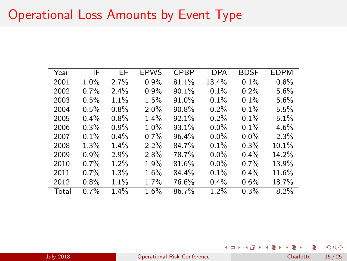#### Operational Loss Amounts by Event Type

| Year  | ΙF   | EF      | <b>EPWS</b> | <b>CPBP</b> | <b>DPA</b> | <b>BDSF</b> | <b>EDPM</b> |
|-------|------|---------|-------------|-------------|------------|-------------|-------------|
| 2001  | 1.0% | 2.7%    | $0.9\%$     | 81.1%       | 13.4%      | 0.1%        | $0.8\%$     |
| 2002  | 0.7% | $2.4\%$ | 0.9%        | 90.1%       | 0.1%       | 0.2%        | 5.6%        |
| 2003  | 0.5% | 1.1%    | 1.5%        | 91.0%       | 0.1%       | 0.1%        | 5.6%        |
| 2004  | 0.5% | 0.8%    | 2.0%        | 90.8%       | 0.2%       | 0.1%        | 5.5%        |
| 2005  | 0.4% | 0.8%    | 1.4%        | 92.1%       | 0.2%       | 0.1%        | 5.1%        |
| 2006  | 0.3% | $0.9\%$ | 1.0%        | 93.1%       | $0.0\%$    | 0.1%        | 4.6%        |
| 2007  | 0.1% | $0.4\%$ | $0.7\%$     | 96.4%       | $0.0\%$    | $0.0\%$     | 2.3%        |
| 2008  | 1.3% | 1.4%    | 2.2%        | 84.7%       | 0.1%       | 0.3%        | 10.1%       |
| 2009  | 0.9% | 2.9%    | 2.8%        | 78.7%       | $0.0\%$    | $0.4\%$     | 14.2%       |
| 2010  | 0.7% | 1.2%    | 1.9%        | 81.6%       | $0.0\%$    | $0.7\%$     | 13.9%       |
| 2011  | 0.7% | 1.3%    | 1.6%        | 84.4%       | 0.1%       | $0.4\%$     | 11.6%       |
| 2012  | 0.8% | 1.1%    | 1.7%        | 76.6%       | $0.4\%$    | 0.6%        | 18.7%       |
| Total | 0.7% | 1.4%    | $1.6\%$     | 86.7%       | 1.2%       | 0.3%        | 8.2%        |

July 2018 [Operational Risk Conference](#page-0-0) Charlotte 15 / 25

≃ ⊾

٠

э

 $\rightarrow \equiv$ 

**K ロ ▶ K 何 ▶**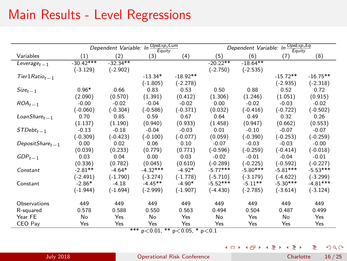## Main Results - Level Regressions

|                    |             | Dependent Variable: In | OpsExp_Cum<br>Equity                |            |            | Dependent Variable: In | OpsExp.Eq<br>Equity |            |
|--------------------|-------------|------------------------|-------------------------------------|------------|------------|------------------------|---------------------|------------|
| Variables          | (1)         | (2)                    | (3)                                 | (4)        | (5)        | (6)                    | (7)                 | (8)        |
| $Leverage_{t-1}$   | $-30.42***$ | $-32.34**$             |                                     |            | $-20.22**$ | $-18.64**$             |                     |            |
|                    | $(-3.129)$  | $(-2.902)$             |                                     |            | $(-2.750)$ | $(-2.535)$             |                     |            |
| $Tier1Ratiot-1$    |             |                        | $-13.34*$                           | $-18.92**$ |            |                        | $-15.72**$          | $-16.75**$ |
|                    |             |                        | $(-1.805)$                          | $(-2.278)$ |            |                        | $(-2.935)$          | $(-2.318)$ |
| $Size_{t-1}$       | $0.96*$     | 0.66                   | 0.83                                | 0.53       | 0.50       | 0.88                   | 0.52                | 0.72       |
|                    | (2.090)     | (0.570)                | (1.391)                             | (0.412)    | (1.306)    | (1.246)                | (1.051)             | (0.915)    |
| $ROA_{t-1}$        | $-0.00$     | $-0.02$                | $-0.04$                             | $-0.02$    | 0.00       | $-0.02$                | $-0.03$             | $-0.02$    |
|                    | $(-0.060)$  | $(-0.304)$             | $(-0.586)$                          | $(-0.371)$ | (0.032)    | $(-0.416)$             | $(-0.722)$          | $(-0.502)$ |
| $LoanShare_{t-1}$  | 0.70        | 0.85                   | 0.59                                | 0.67       | 0.64       | 0.49                   | 0.32                | 0.26       |
|                    | (1.137)     | (1.190)                | (0.940)                             | (0.933)    | (1.458)    | (0.947)                | (0.662)             | (0.553)    |
| $STDebt_{t-1}$     | $-0.13$     | $-0.18$                | $-0.04$                             | $-0.03$    | 0.01       | $-0.10$                | $-0.07$             | $-0.07$    |
|                    | $(-0.309)$  | $(-0.423)$             | $(-0.100)$                          | $(-0.077)$ | (0.059)    | $(-0.390)$             | $(-0.253)$          | $(-0.259)$ |
| DepositShare $t-1$ | 0.00        | 0.02                   | 0.06                                | 0.10       | $-0.07$    | $-0.03$                | $-0.03$             | $-0.00$    |
|                    | (0.039)     | (0.233)                | (0.779)                             | (0.771)    | $(-0.596)$ | $(-0.259)$             | $(-0.414)$          | $(-0.018)$ |
| $GDP_{t-1}$        | 0.03        | 0.04                   | 0.00                                | 0.03       | $-0.02$    | $-0.01$                | $-0.04$             | $-0.01$    |
|                    | (0.336)     | (0.782)                | (0.045)                             | (0.610)    | $(-0.289)$ | $(-0.225)$             | $(-0.592)$          | $(-0.227)$ |
| Constant           | $-2.81**$   | $-4.64*$               | $-4.32***$                          | $-4.92*$   | $-5.77***$ | $-5.80***$             | $-5.81***$          | $-5.53***$ |
|                    | $(-2.491)$  | $(-1.790)$             | $(-3.274)$                          | $(-1.778)$ | $(-5.710)$ | $(-3.179)$             | $(-4.622)$          | $(-3.299)$ |
| Constant           | $-2.86*$    | $-4.18$                | $-4.45**$                           | $-4.90*$   | $-5.52***$ | $-5.11**$              | $-5.30***$          | $-4.81***$ |
|                    | $(-1.944)$  | $(-1.694)$             | $(-2.999)$                          | $(-1.907)$ | $(-4.430)$ | $(-2.785)$             | $(-3.614)$          | $(-3.124)$ |
| Observations       | 449         | 449                    | 449                                 | 449        | 449        | 449                    | 449                 | 449        |
| R-squared          | 0.578       | 0.588                  | 0.550                               | 0.563      | 0.494      | 0.504                  | 0.487               | 0.499      |
| Year FE            | No          | Yes                    | No                                  | Yes        | No         | Yes                    | No                  | Yes        |
| CEO Pay            | Yes         | Yes                    | Yes                                 | Yes        | Yes        | Yes                    | Yes                 | Yes        |
|                    |             |                        | $*** - 20.01$ ** $-20.05$ * $-20.1$ |            |            |                        |                     |            |

 $p<0.01$ , \*\*  $p<0.05$ , \*  $p<0.1$ 

活 メロトメ 倒 トメ ミトメ ミト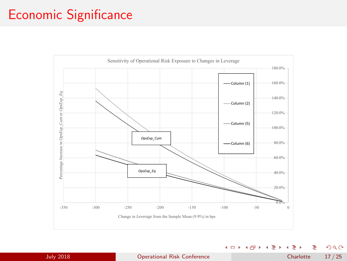#### Economic Significance



造 July 2018 [Operational Risk Conference](#page-0-0) Charlotte 17 / 25

 $298$ 

경비 제공 H

**4 日 ト 4 何 ト 4**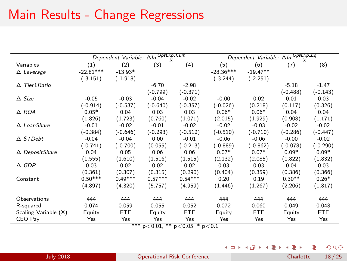## Main Results - Change Regressions

| $\frac{OpsExp_Cum}{X}$<br>$\frac{OpsExp\_Eq}{X}$<br>(2)<br>(5)<br>(6)<br>Variables<br>(1)<br>(3)<br>(4)<br>(7)<br>(8)<br>$-22.81***$<br>$-28.36***$<br>$-19.47**$<br>$-13.93*$<br>$\overline{\Delta}$ Leverage<br>$(-1.918)$<br>$(-3.244)$<br>$(-2.251)$<br>$(-3.151)$<br>Tier1 Ratio<br>$-6.70$<br>$-2.98$<br>$-5.18$<br>$-1.47$<br>Δ<br>$(-0.799)$<br>$(-0.371)$<br>$(-0.488)$<br>$(-0.143)$<br>$\triangle$ Size<br>$-0.05$<br>$-0.03$<br>$-0.04$<br>$-0.02$<br>0.01<br>0.03<br>$-0.00$<br>0.02<br>$(-0.914)$<br>$(-0.537)$<br>$(-0.640)$<br>$(-0.357)$<br>$(-0.026)$<br>(0.218)<br>(0.326)<br>(0.117)<br>$0.05*$<br>0.03<br>$0.06*$<br>$0.06*$<br>$\triangle$ ROA<br>0.04<br>0.03<br>0.04<br>0.04<br>(1.723)<br>(0.760)<br>(1.071)<br>(1.929)<br>(0.908)<br>(1.826)<br>(2.015)<br>(1.171)<br>$\Delta$ LoanShare<br>$-0.02$<br>$-0.01$<br>$-0.02$<br>$-0.01$<br>$-0.02$<br>$-0.03$<br>$-0.02$<br>$-0.02$<br>$(-0.384)$<br>$(-0.646)$<br>$(-0.293)$<br>$(-0.512)$<br>$(-0.510)$<br>$(-0.710)$<br>$(-0.286)$<br>$(-0.447)$ |
|----------------------------------------------------------------------------------------------------------------------------------------------------------------------------------------------------------------------------------------------------------------------------------------------------------------------------------------------------------------------------------------------------------------------------------------------------------------------------------------------------------------------------------------------------------------------------------------------------------------------------------------------------------------------------------------------------------------------------------------------------------------------------------------------------------------------------------------------------------------------------------------------------------------------------------------------------------------------------------------------------------------------------|
|                                                                                                                                                                                                                                                                                                                                                                                                                                                                                                                                                                                                                                                                                                                                                                                                                                                                                                                                                                                                                            |
|                                                                                                                                                                                                                                                                                                                                                                                                                                                                                                                                                                                                                                                                                                                                                                                                                                                                                                                                                                                                                            |
|                                                                                                                                                                                                                                                                                                                                                                                                                                                                                                                                                                                                                                                                                                                                                                                                                                                                                                                                                                                                                            |
|                                                                                                                                                                                                                                                                                                                                                                                                                                                                                                                                                                                                                                                                                                                                                                                                                                                                                                                                                                                                                            |
|                                                                                                                                                                                                                                                                                                                                                                                                                                                                                                                                                                                                                                                                                                                                                                                                                                                                                                                                                                                                                            |
|                                                                                                                                                                                                                                                                                                                                                                                                                                                                                                                                                                                                                                                                                                                                                                                                                                                                                                                                                                                                                            |
|                                                                                                                                                                                                                                                                                                                                                                                                                                                                                                                                                                                                                                                                                                                                                                                                                                                                                                                                                                                                                            |
|                                                                                                                                                                                                                                                                                                                                                                                                                                                                                                                                                                                                                                                                                                                                                                                                                                                                                                                                                                                                                            |
|                                                                                                                                                                                                                                                                                                                                                                                                                                                                                                                                                                                                                                                                                                                                                                                                                                                                                                                                                                                                                            |
|                                                                                                                                                                                                                                                                                                                                                                                                                                                                                                                                                                                                                                                                                                                                                                                                                                                                                                                                                                                                                            |
|                                                                                                                                                                                                                                                                                                                                                                                                                                                                                                                                                                                                                                                                                                                                                                                                                                                                                                                                                                                                                            |
| $\triangle$ STDebt<br>0.00<br>$-0.04$<br>$-0.04$<br>$-0.01$<br>$-0.06$<br>$-0.06$<br>$-0.00$<br>$-0.02$                                                                                                                                                                                                                                                                                                                                                                                                                                                                                                                                                                                                                                                                                                                                                                                                                                                                                                                    |
| $(-0.741)$<br>$(-0.700)$<br>(0.055)<br>$(-0.213)$<br>$(-0.889)$<br>$(-0.862)$<br>$(-0.078)$<br>$(-0.290)$                                                                                                                                                                                                                                                                                                                                                                                                                                                                                                                                                                                                                                                                                                                                                                                                                                                                                                                  |
| $0.07*$<br>$0.07*$<br>$0.09*$<br>$0.09*$<br>0.04<br>0.05<br>0.06<br>0.06<br>$\Delta$ DepositShare                                                                                                                                                                                                                                                                                                                                                                                                                                                                                                                                                                                                                                                                                                                                                                                                                                                                                                                          |
| (1.555)<br>(1.610)<br>(1.516)<br>(1.515)<br>(1.822)<br>(1.832)<br>(2.132)<br>(2.085)                                                                                                                                                                                                                                                                                                                                                                                                                                                                                                                                                                                                                                                                                                                                                                                                                                                                                                                                       |
| 0.03<br>0.03<br>$\triangle$ GDP<br>0.03<br>0.02<br>0.02<br>0.02<br>0.04<br>0.03                                                                                                                                                                                                                                                                                                                                                                                                                                                                                                                                                                                                                                                                                                                                                                                                                                                                                                                                            |
| (0.361)<br>(0.315)<br>(0.290)<br>(0.359)<br>(0.307)<br>(0.404)<br>(0.386)<br>(0.366)                                                                                                                                                                                                                                                                                                                                                                                                                                                                                                                                                                                                                                                                                                                                                                                                                                                                                                                                       |
| $0.57***$<br>$0.50***$<br>$0.49***$<br>$0.54***$<br>0.20<br>$0.30**$<br>$0.26*$<br>0.19<br>Constant                                                                                                                                                                                                                                                                                                                                                                                                                                                                                                                                                                                                                                                                                                                                                                                                                                                                                                                        |
| (4.897)<br>(4.959)<br>(4.320)<br>(5.757)<br>(1.446)<br>(1.267)<br>(2.206)<br>(1.817)                                                                                                                                                                                                                                                                                                                                                                                                                                                                                                                                                                                                                                                                                                                                                                                                                                                                                                                                       |
| Observations<br>444<br>444<br>444<br>444<br>444<br>444<br>444<br>444                                                                                                                                                                                                                                                                                                                                                                                                                                                                                                                                                                                                                                                                                                                                                                                                                                                                                                                                                       |
| 0.074<br>0.072<br>0.059<br>0.055<br>0.052<br>0.060<br>0.048<br>0.049<br>R-squared                                                                                                                                                                                                                                                                                                                                                                                                                                                                                                                                                                                                                                                                                                                                                                                                                                                                                                                                          |
| <b>FTE</b><br><b>FTE</b><br><b>FTE</b><br><b>FTE</b><br>Scaling Variable (X)<br>Equity<br>Equity<br>Equity<br>Equity                                                                                                                                                                                                                                                                                                                                                                                                                                                                                                                                                                                                                                                                                                                                                                                                                                                                                                       |
| Yes<br>Yes<br>Yes<br>CEO Pay<br>Yes<br>Yes<br>Yes<br>Yes<br>Yes                                                                                                                                                                                                                                                                                                                                                                                                                                                                                                                                                                                                                                                                                                                                                                                                                                                                                                                                                            |

\*\*\* p<0.01, \*\* p<0.05, \* p<0.1

活  $298$ メロトメ 倒 トメ ミトメ ミト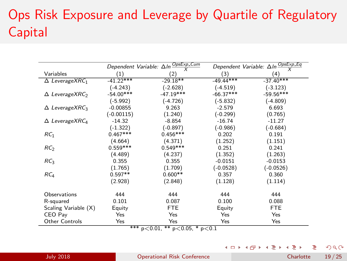# Ops Risk Exposure and Leverage by Quartile of Regulatory Capital

|                                      | Dependent Variable: ΔIn- | OpsExp_Cum                  | Dependent Variable: Aln- | OpsExp <sub>-Eq</sub> |
|--------------------------------------|--------------------------|-----------------------------|--------------------------|-----------------------|
| Variables                            | (1)                      | (2)                         | (3)                      | $^{(4)}$              |
| $\Delta$ LeverageXRC <sub>1</sub>    | $-41.22***$              | $-29.18**$                  | $-49.44***$              | $-37.40***$           |
|                                      | $(-4.243)$               | $(-2.628)$                  | $(-4.519)$               | $(-3.123)$            |
| $\Delta$ LeverageXRC <sub>2</sub>    | $-54.00***$              | $-47.19***$                 | $-66.37***$              | $-59.56***$           |
|                                      | $(-5.992)$               | $(-4.726)$                  | $(-5.832)$               | $(-4.809)$            |
| $\triangle$ LeverageXRC <sub>3</sub> | $-0.00855$               | 9.263                       | $-2.579$                 | 6.693                 |
|                                      | $(-0.00115)$             | (1.240)                     | $(-0.299)$               | (0.765)               |
| $\triangle$ LeverageXRC <sub>4</sub> | $-14.32$                 | $-8.854$                    | $-16.74$                 | $-11.27$              |
|                                      | $(-1.322)$               | $(-0.897)$                  | $(-0.986)$               | $(-0.684)$            |
| RC <sub>1</sub>                      | $0.467***$               | $0.456***$                  | 0.202                    | 0.191                 |
|                                      | (4.664)                  | (4.371)                     | (1.252)                  | (1.151)               |
| RC <sub>2</sub>                      | $0.559***$               | $0.549***$                  | 0.251                    | 0.241                 |
|                                      | (4.489)                  | (4.237)                     | (1.352)                  | (1.263)               |
| RC <sub>3</sub>                      | 0.355                    | 0.355                       | $-0.0151$                | $-0.0153$             |
|                                      | (1.765)                  | (1.709)                     | $(-0.0528)$              | $(-0.0526)$           |
| RC <sub>4</sub>                      | $0.597**$                | $0.600**$                   | 0.357                    | 0.360                 |
|                                      | (2.928)                  | (2.848)                     | (1.128)                  | (1.114)               |
| Observations                         | 444                      | 444                         | 444                      | 444                   |
| R-squared                            | 0.101                    | 0.087                       | 0.100                    | 0.088                 |
| Scaling Variable (X)                 | Equity                   | FTE                         | Equity                   | <b>FTE</b>            |
| CEO Pay                              | Yes                      | Yes                         | Yes                      | Yes                   |
| Other Controls                       | Yes<br>also also adso    | Yes<br>$\sim$ $\sim$ $\sim$ | Yes<br>$\sim$ $\sim$     | Yes                   |

\*\*\* p<0.01, \*\* p<0.05, \* p<0.1

 $298$  $4$  ロ }  $4$   $4$   $9$  }  $4$   $\geq$  }  $\leftarrow \equiv$   $\rightarrow$ э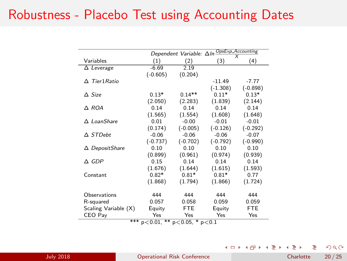#### Robustness - Placebo Test using Accounting Dates

|                      |                              |                        | Dependent Variable: $\Delta \ln \frac{OpsExp\_Acccounting}{V}$ |            |
|----------------------|------------------------------|------------------------|----------------------------------------------------------------|------------|
| Variables            | (1)                          | (2)                    | (3)                                                            | (4)        |
| $\Delta$ Leverage    | $-6.69$                      | 2.19                   |                                                                |            |
|                      | $(-0.605)$                   | (0.204)                |                                                                |            |
| $\Delta$ Tier1 Ratio |                              |                        | $-11.49$                                                       | $-7.77$    |
|                      |                              |                        | $(-1.308)$                                                     | $(-0.898)$ |
| $\triangle$ Size     | $0.13*$                      | $0.14**$               | $0.11*$                                                        | $0.13*$    |
|                      | (2.050)                      | (2.283)                | (1.839)                                                        | (2.144)    |
| Δ ROA                | 0.14                         | 0.14                   | 0.14                                                           | 0.14       |
|                      | (1.565)                      | (1.554)                | (1.608)                                                        | (1.648)    |
| $\Delta$ LoanShare   | 0.01                         | $-0.00$                | $-0.01$                                                        | $-0.01$    |
|                      | (0.174)                      | $(-0.005)$             | $(-0.126)$                                                     | $(-0.292)$ |
| $\triangle$ STDebt   | $-0.06$                      | $-0.06$                | $-0.06$                                                        | $-0.07$    |
|                      | $(-0.737)$                   | $(-0.702)$             | $(-0.792)$                                                     | $(-0.990)$ |
| △ DepositShare       | 0.10                         | 0.10                   | 0.10                                                           | 0.10       |
|                      | (0.899)                      | (0.961)                | (0.974)                                                        | (0.939)    |
| $\triangle$ GDP      | 0.15                         | 0.14                   | 0.14                                                           | 0.14       |
|                      | (1.676)                      | (1.644)                | (1.615)                                                        | (1.593)    |
| Constant             | $0.82*$                      | $0.81*$                | $0.81*$                                                        | 0.77       |
|                      | (1.868)                      | (1.794)                | (1.866)                                                        | (1.724)    |
|                      |                              |                        |                                                                |            |
| Observations         | 444                          | 444                    | 444                                                            | 444        |
| R-squared            | 0.057                        | 0.058                  | 0.059                                                          | 0.059      |
| Scaling Variable (X) | Equity                       | FTE                    | Equity                                                         | <b>FTE</b> |
| CEO Pay<br>ملوطة ملو | Yes<br>مال مال<br>$\sim$ $-$ | Yes<br>÷<br>$\sim$ $-$ | Yes<br>٠                                                       | Yes        |

\*\*\*  $p < 0.01$ , \*\*  $p < 0.05$ , \*  $p < 0.1$ 

J.

**4ロト 4母ト 4ミト** 

э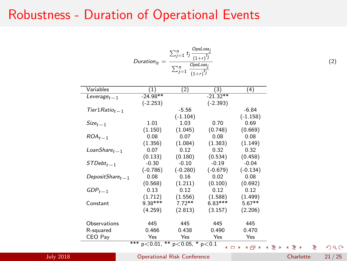#### Robustness - Duration of Operational Events

$$
Duration_{it} = \frac{\sum_{j=1}^{n} t_j \frac{OpsLoss_j}{(1+r)^{t_j}}}{\sum_{j=1}^{n} \frac{OpsLoss_j}{(1+r)^{t_j}}}
$$

| Variables                 | (1)        | (2)        | (3)        | (4)        |
|---------------------------|------------|------------|------------|------------|
| Leverage <sub>t – 1</sub> | $-24.98**$ |            | $-21.32**$ |            |
|                           | $(-2.253)$ |            | $(-2.393)$ |            |
| $Tier1Ratio_{t-1}$        |            | $-5.56$    |            | $-6.84$    |
|                           |            | $(-1.104)$ |            | $(-1.158)$ |
| $Size_{t-1}$              | 1.01       | 1.03       | 0.70       | 0.69       |
|                           | (1.150)    | (1.045)    | (0.748)    | (0.669)    |
| $ROA_{t-1}$               | 0.08       | 0.07       | 0.08       | 0.08       |
|                           | (1.356)    | (1.084)    | (1.383)    | (1.149)    |
| $L$ oan $Share_{t-1}$     | 0.07       | 0.12       | 0.32       | 0.32       |
|                           | (0.133)    | (0.180)    | (0.534)    | (0.458)    |
| $STDebt_{t-1}$            | $-0.30$    | $-0.10$    | $-0.19$    | $-0.04$    |
|                           | $(-0.786)$ | $(-0.280)$ | $(-0.679)$ | $(-0.134)$ |
| $DepositShare_{t-1}$      | 0.08       | 0.16       | 0.02       | 0.08       |
|                           | (0.568)    | (1.211)    | (0.100)    | (0.692)    |
| $GDP_{t-1}$               | 0.13       | 0.12       | 0.12       | 0.12       |
|                           | (1.712)    | (1.556)    | (1.588)    | (1.499)    |
| Constant                  | 9.38***    | $7.72**$   | $6.83***$  | $5.67**$   |
|                           | (4.259)    | (2.813)    | (3.157)    | (2.206)    |
|                           |            |            |            |            |
| Observations              | 445        | 445        | 445        | 445        |
| R-squared                 | 0.466      | 0.438      | 0.490      | 0.470      |
| CEO Pay                   | Yes        | Yes        | Yes        | Yes        |

\*\*\*  $p < 0.01$ , \*\*  $p < 0.05$ , \*  $p < 0.1$ 

July 2018 [Operational Risk Conference](#page-0-0) Charlotte 21 / 25

œ.

 $298$ 

**Kロト K回下** 

 $\rightarrow$ 

(2)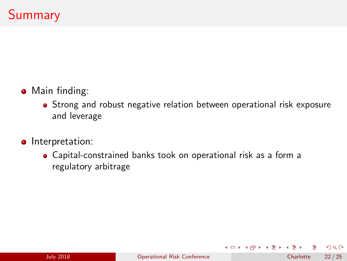- **•** Main finding:
	- Strong and robust negative relation between operational risk exposure and leverage
- **o** Interpretation:
	- Capital-constrained banks took on operational risk as a form a regulatory arbitrage

**K ロ ▶ K 何 ▶** 

 $\rightarrow$ GR 18  $QQ$ 

 $\leftarrow \equiv$   $\rightarrow$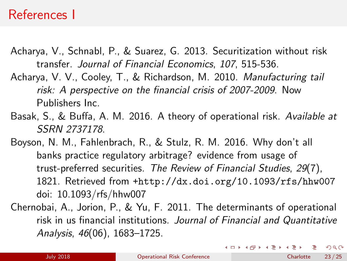#### References I

- <span id="page-22-2"></span>Acharya, V., Schnabl, P., & Suarez, G. 2013. Securitization without risk transfer. Journal of Financial Economics, 107, 515-536.
- <span id="page-22-4"></span>Acharya, V. V., Cooley, T., & Richardson, M. 2010. Manufacturing tail risk: A perspective on the financial crisis of 2007-2009. Now Publishers Inc.
- <span id="page-22-1"></span>Basak, S., & Buffa, A. M. 2016. A theory of operational risk. Available at SSRN 2737178.
- <span id="page-22-3"></span>Boyson, N. M., Fahlenbrach, R., & Stulz, R. M. 2016. Why don't all banks practice regulatory arbitrage? evidence from usage of trust-preferred securities. The Review of Financial Studies, 29(7), 1821. Retrieved from <+http://dx.doi.org/10.1093/rfs/hhw007> doi: 10.1093/rfs/hhw007
- <span id="page-22-0"></span>Chernobai, A., Jorion, P., & Yu, F. 2011. The determinants of operational risk in us financial institutions. Journal of Financial and Quantitative Analysis, 46(06), 1683–1725.

 $\Omega$ 

 $\left\{ \begin{array}{ccc} 1 & 0 & 0 \\ 0 & 1 & 0 \end{array} \right.$   $\left\{ \begin{array}{ccc} 0 & 0 & 0 \\ 0 & 0 & 0 \end{array} \right.$